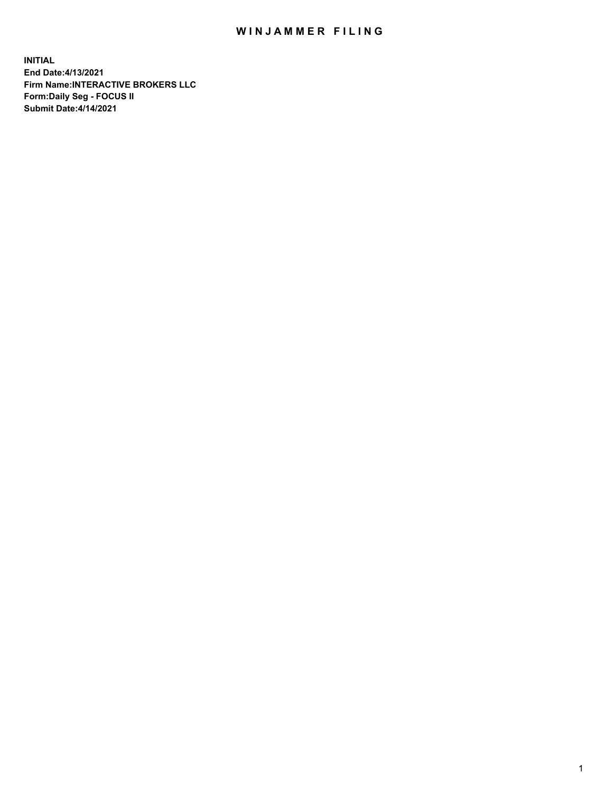## WIN JAMMER FILING

**INITIAL End Date:4/13/2021 Firm Name:INTERACTIVE BROKERS LLC Form:Daily Seg - FOCUS II Submit Date:4/14/2021**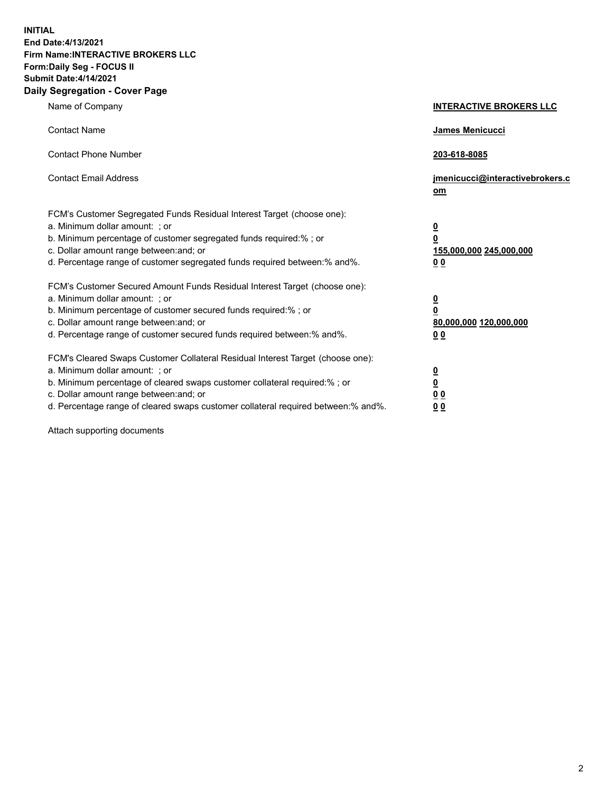**INITIAL End Date:4/13/2021 Firm Name:INTERACTIVE BROKERS LLC Form:Daily Seg - FOCUS II Submit Date:4/14/2021 Daily Segregation - Cover Page**

| Name of Company                                                                                                                                                                                                                                                                                                                | <b>INTERACTIVE BROKERS LLC</b>                                                   |
|--------------------------------------------------------------------------------------------------------------------------------------------------------------------------------------------------------------------------------------------------------------------------------------------------------------------------------|----------------------------------------------------------------------------------|
| <b>Contact Name</b>                                                                                                                                                                                                                                                                                                            | James Menicucci                                                                  |
| <b>Contact Phone Number</b>                                                                                                                                                                                                                                                                                                    | 203-618-8085                                                                     |
| <b>Contact Email Address</b>                                                                                                                                                                                                                                                                                                   | jmenicucci@interactivebrokers.c<br>om                                            |
| FCM's Customer Segregated Funds Residual Interest Target (choose one):<br>a. Minimum dollar amount: ; or<br>b. Minimum percentage of customer segregated funds required:% ; or<br>c. Dollar amount range between: and; or<br>d. Percentage range of customer segregated funds required between:% and%.                         | <u>0</u><br>$\overline{\mathbf{0}}$<br>155,000,000 245,000,000<br>0 <sub>0</sub> |
| FCM's Customer Secured Amount Funds Residual Interest Target (choose one):<br>a. Minimum dollar amount: ; or<br>b. Minimum percentage of customer secured funds required:% ; or<br>c. Dollar amount range between: and; or<br>d. Percentage range of customer secured funds required between:% and%.                           | <u>0</u><br>$\overline{\mathbf{0}}$<br>80,000,000 120,000,000<br>0 <sub>0</sub>  |
| FCM's Cleared Swaps Customer Collateral Residual Interest Target (choose one):<br>a. Minimum dollar amount: ; or<br>b. Minimum percentage of cleared swaps customer collateral required:% ; or<br>c. Dollar amount range between: and; or<br>d. Percentage range of cleared swaps customer collateral required between:% and%. | <u>0</u><br>$\underline{\mathbf{0}}$<br>0 <sub>0</sub><br>0 <sub>0</sub>         |

Attach supporting documents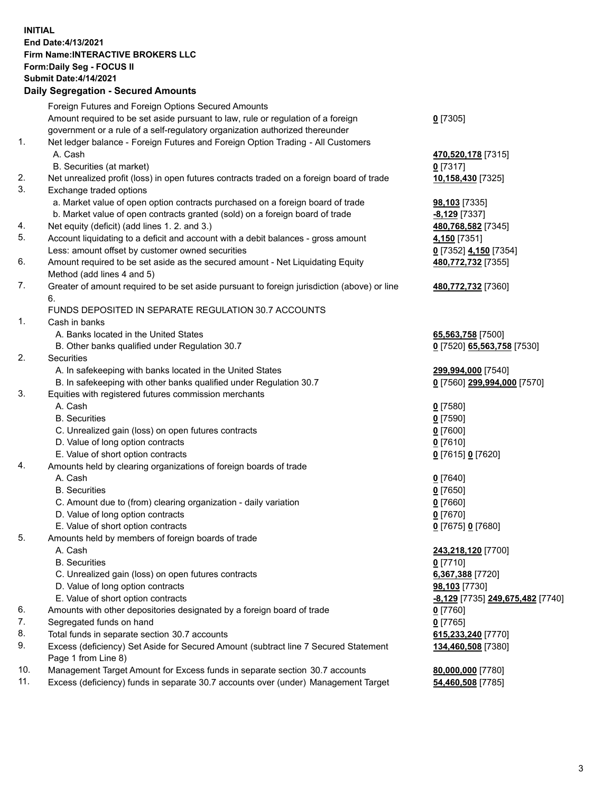## **INITIAL End Date:4/13/2021 Firm Name:INTERACTIVE BROKERS LLC Form:Daily Seg - FOCUS II Submit Date:4/14/2021 Daily Segregation - Secured Amounts**

|                | Daily Jegregation - Jeculed Aniounts                                                                       |                                        |
|----------------|------------------------------------------------------------------------------------------------------------|----------------------------------------|
|                | Foreign Futures and Foreign Options Secured Amounts                                                        |                                        |
|                | Amount required to be set aside pursuant to law, rule or regulation of a foreign                           | $0$ [7305]                             |
|                | government or a rule of a self-regulatory organization authorized thereunder                               |                                        |
| $\mathbf{1}$ . | Net ledger balance - Foreign Futures and Foreign Option Trading - All Customers                            |                                        |
|                | A. Cash                                                                                                    | 470,520,178 [7315]                     |
|                | B. Securities (at market)                                                                                  | $0$ [7317]                             |
| 2.             | Net unrealized profit (loss) in open futures contracts traded on a foreign board of trade                  | 10,158,430 [7325]                      |
| 3.             | Exchange traded options                                                                                    |                                        |
|                | a. Market value of open option contracts purchased on a foreign board of trade                             | 98,103 [7335]                          |
|                | b. Market value of open contracts granted (sold) on a foreign board of trade                               | $-8,129$ [7337]                        |
| 4.             | Net equity (deficit) (add lines 1. 2. and 3.)                                                              | 480,768,582 [7345]                     |
| 5.             | Account liquidating to a deficit and account with a debit balances - gross amount                          | 4,150 [7351]                           |
|                | Less: amount offset by customer owned securities                                                           | 0 [7352] 4,150 [7354]                  |
| 6.             | Amount required to be set aside as the secured amount - Net Liquidating Equity                             | 480,772,732 [7355]                     |
|                | Method (add lines 4 and 5)                                                                                 |                                        |
| 7.             | Greater of amount required to be set aside pursuant to foreign jurisdiction (above) or line                | 480,772,732 [7360]                     |
|                | 6.                                                                                                         |                                        |
|                | FUNDS DEPOSITED IN SEPARATE REGULATION 30.7 ACCOUNTS                                                       |                                        |
| 1.             | Cash in banks                                                                                              |                                        |
|                | A. Banks located in the United States                                                                      | 65,563,758 [7500]                      |
|                | B. Other banks qualified under Regulation 30.7                                                             | 0 [7520] 65,563,758 [7530]             |
| 2.             | Securities                                                                                                 |                                        |
|                | A. In safekeeping with banks located in the United States                                                  | 299,994,000 [7540]                     |
|                | B. In safekeeping with other banks qualified under Regulation 30.7                                         | 0 [7560] 299,994,000 [7570]            |
| 3.             | Equities with registered futures commission merchants                                                      |                                        |
|                | A. Cash                                                                                                    | $0$ [7580]                             |
|                | <b>B.</b> Securities                                                                                       | $0$ [7590]                             |
|                | C. Unrealized gain (loss) on open futures contracts                                                        | $0$ [7600]                             |
|                | D. Value of long option contracts                                                                          | $0$ [7610]                             |
|                | E. Value of short option contracts                                                                         | 0 [7615] 0 [7620]                      |
| 4.             | Amounts held by clearing organizations of foreign boards of trade                                          |                                        |
|                | A. Cash                                                                                                    | $0$ [7640]                             |
|                | <b>B.</b> Securities                                                                                       | $0$ [7650]                             |
|                | C. Amount due to (from) clearing organization - daily variation                                            | $0$ [7660]                             |
|                | D. Value of long option contracts                                                                          | $0$ [7670]                             |
|                | E. Value of short option contracts                                                                         | $0$ [7675] 0 [7680]                    |
| 5.             | Amounts held by members of foreign boards of trade                                                         |                                        |
|                | A. Cash                                                                                                    | 243,218,120 [7700]                     |
|                | <b>B.</b> Securities                                                                                       | $0$ [7710]                             |
|                | C. Unrealized gain (loss) on open futures contracts                                                        | 6,367,388 [7720]                       |
|                | D. Value of long option contracts                                                                          | 98,103 [7730]                          |
|                | E. Value of short option contracts                                                                         | -8,129 [7735] 249,675,482 [7740]       |
| 6.             | Amounts with other depositories designated by a foreign board of trade                                     | 0 [7760]                               |
| 7.             | Segregated funds on hand                                                                                   | $0$ [7765]                             |
| 8.             | Total funds in separate section 30.7 accounts                                                              | 615,233,240 [7770]                     |
| 9.             | Excess (deficiency) Set Aside for Secured Amount (subtract line 7 Secured Statement<br>Page 1 from Line 8) | 134,460,508 [7380]                     |
| 10.            | Management Target Amount for Excess funds in separate section 30.7 accounts                                |                                        |
| 11.            | Excess (deficiency) funds in separate 30.7 accounts over (under) Management Target                         | 80,000,000 [7780]<br>54,460,508 [7785] |
|                |                                                                                                            |                                        |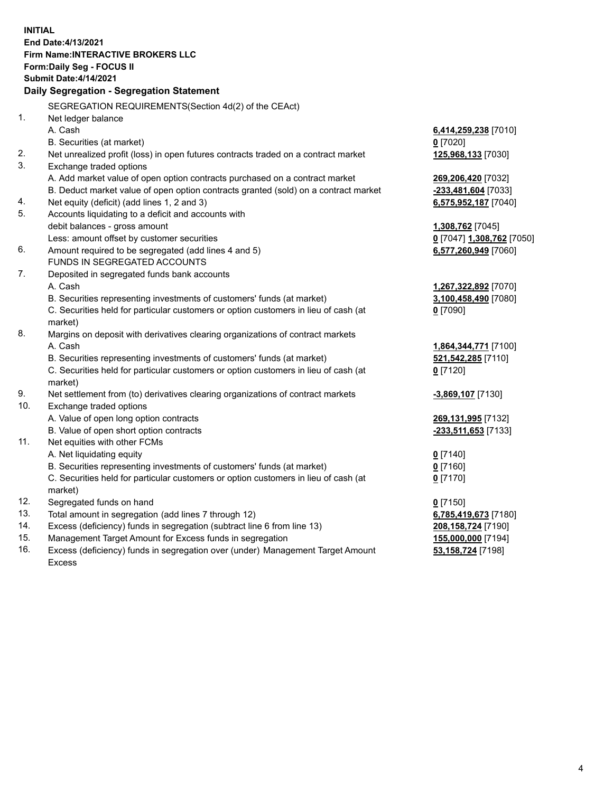**INITIAL End Date:4/13/2021 Firm Name:INTERACTIVE BROKERS LLC Form:Daily Seg - FOCUS II Submit Date:4/14/2021 Daily Segregation - Segregation Statement** SEGREGATION REQUIREMENTS(Section 4d(2) of the CEAct) 1. Net ledger balance A. Cash **6,414,259,238** [7010] B. Securities (at market) **0** [7020] 2. Net unrealized profit (loss) in open futures contracts traded on a contract market **125,968,133** [7030] 3. Exchange traded options A. Add market value of open option contracts purchased on a contract market **269,206,420** [7032] B. Deduct market value of open option contracts granted (sold) on a contract market **-233,481,604** [7033] 4. Net equity (deficit) (add lines 1, 2 and 3) **6,575,952,187** [7040] 5. Accounts liquidating to a deficit and accounts with debit balances - gross amount **1,308,762** [7045] Less: amount offset by customer securities **0** [7047] **1,308,762** [7050] 6. Amount required to be segregated (add lines 4 and 5) **6,577,260,949** [7060] FUNDS IN SEGREGATED ACCOUNTS 7. Deposited in segregated funds bank accounts A. Cash **1,267,322,892** [7070] B. Securities representing investments of customers' funds (at market) **3,100,458,490** [7080] C. Securities held for particular customers or option customers in lieu of cash (at market) **0** [7090] 8. Margins on deposit with derivatives clearing organizations of contract markets A. Cash **1,864,344,771** [7100] B. Securities representing investments of customers' funds (at market) **521,542,285** [7110] C. Securities held for particular customers or option customers in lieu of cash (at market) **0** [7120] 9. Net settlement from (to) derivatives clearing organizations of contract markets **-3,869,107** [7130] 10. Exchange traded options A. Value of open long option contracts **269,131,995** [7132] B. Value of open short option contracts **-233,511,653** [7133] 11. Net equities with other FCMs A. Net liquidating equity **0** [7140] B. Securities representing investments of customers' funds (at market) **0** [7160] C. Securities held for particular customers or option customers in lieu of cash (at market) **0** [7170] 12. Segregated funds on hand **0** [7150] 13. Total amount in segregation (add lines 7 through 12) **6,785,419,673** [7180] 14. Excess (deficiency) funds in segregation (subtract line 6 from line 13) **208,158,724** [7190] 15. Management Target Amount for Excess funds in segregation **155,000,000** [7194] 16. Excess (deficiency) funds in segregation over (under) Management Target Amount **53,158,724** [7198]

Excess